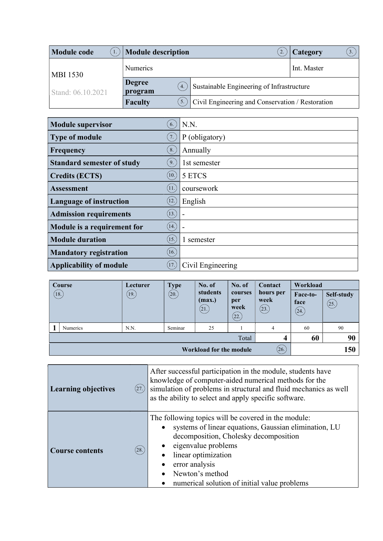| <b>Module code</b> | <b>Module description</b>                    |                                                  | Category<br>3. |  |  |
|--------------------|----------------------------------------------|--------------------------------------------------|----------------|--|--|
| <b>MBI 1530</b>    | <b>Numerics</b>                              |                                                  | Int. Master    |  |  |
| Stand: 06.10.2021  | <b>Degree</b><br>$\overline{4}$ .<br>program | Sustainable Engineering of Infrastructure        |                |  |  |
|                    | <b>Faculty</b>                               | Civil Engineering and Conservation / Restoration |                |  |  |

| <b>Module supervisor</b>          | 6.                      | N.N.              |
|-----------------------------------|-------------------------|-------------------|
| <b>Type of module</b>             | $\left(7\right)$        | P (obligatory)    |
| Frequency                         | 8.                      | Annually          |
| <b>Standard semester of study</b> | 9.                      | 1st semester      |
| <b>Credits (ECTS)</b>             | $\left[10.\right)$      | 5 ETCS            |
| <b>Assessment</b>                 | (11)                    | coursework        |
| <b>Language of instruction</b>    | $\left 12\right\rangle$ | English           |
| <b>Admission requirements</b>     | (13)                    |                   |
| Module is a requirement for       | (14)                    |                   |
| <b>Module duration</b>            | (15.)                   | 1 semester        |
| <b>Mandatory registration</b>     | (16.)                   |                   |
| <b>Applicability of module</b>    | (17.)                   | Civil Engineering |

|                   | Course                                        | Lecturer | <b>Type</b> | No. of                     | No. of                         | <b>Contact</b>             | Workload                 |                    |
|-------------------|-----------------------------------------------|----------|-------------|----------------------------|--------------------------------|----------------------------|--------------------------|--------------------|
| $\left(18\right)$ |                                               | (19)     | (20.)       | students<br>(max.)<br>(21. | courses<br>per<br>week<br>(22. | hours per<br>week<br>(23.) | Face-to-<br>face<br>(24) | Self-study<br>(25) |
|                   | <b>Numerics</b>                               | N.N.     | Seminar     | 25                         |                                | 4                          | 60                       | 90                 |
|                   | 60<br>Total<br>4                              |          |             |                            |                                |                            | 90                       |                    |
|                   | (26.<br>150<br><b>Workload for the module</b> |          |             |                            |                                |                            |                          |                    |

| <b>Learning objectives</b> | After successful participation in the module, students have<br>knowledge of computer-aided numerical methods for the<br>simulation of problems in structural and fluid mechanics as well<br>(27.)<br>as the ability to select and apply specific software.                                        |
|----------------------------|---------------------------------------------------------------------------------------------------------------------------------------------------------------------------------------------------------------------------------------------------------------------------------------------------|
| <b>Course contents</b>     | The following topics will be covered in the module:<br>systems of linear equations, Gaussian elimination, LU<br>decomposition, Cholesky decomposition<br>eigenvalue problems<br>(28.)<br>linear optimization<br>error analysis<br>Newton's method<br>numerical solution of initial value problems |